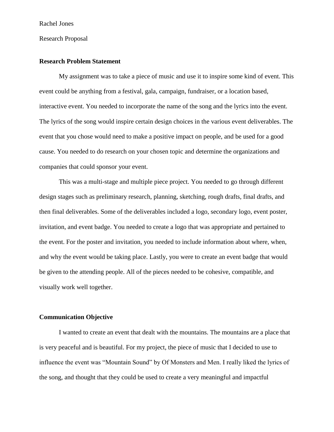### Research Proposal

## **Research Problem Statement**

My assignment was to take a piece of music and use it to inspire some kind of event. This event could be anything from a festival, gala, campaign, fundraiser, or a location based, interactive event. You needed to incorporate the name of the song and the lyrics into the event. The lyrics of the song would inspire certain design choices in the various event deliverables. The event that you chose would need to make a positive impact on people, and be used for a good cause. You needed to do research on your chosen topic and determine the organizations and companies that could sponsor your event.

This was a multi-stage and multiple piece project. You needed to go through different design stages such as preliminary research, planning, sketching, rough drafts, final drafts, and then final deliverables. Some of the deliverables included a logo, secondary logo, event poster, invitation, and event badge. You needed to create a logo that was appropriate and pertained to the event. For the poster and invitation, you needed to include information about where, when, and why the event would be taking place. Lastly, you were to create an event badge that would be given to the attending people. All of the pieces needed to be cohesive, compatible, and visually work well together.

# **Communication Objective**

I wanted to create an event that dealt with the mountains. The mountains are a place that is very peaceful and is beautiful. For my project, the piece of music that I decided to use to influence the event was "Mountain Sound" by Of Monsters and Men. I really liked the lyrics of the song, and thought that they could be used to create a very meaningful and impactful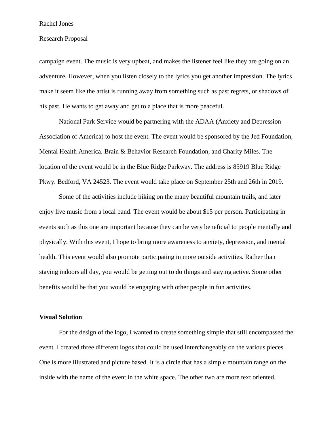### Rachel Jones

### Research Proposal

campaign event. The music is very upbeat, and makes the listener feel like they are going on an adventure. However, when you listen closely to the lyrics you get another impression. The lyrics make it seem like the artist is running away from something such as past regrets, or shadows of his past. He wants to get away and get to a place that is more peaceful.

National Park Service would be partnering with the ADAA (Anxiety and Depression Association of America) to host the event. The event would be sponsored by the Jed Foundation, Mental Health America, Brain & Behavior Research Foundation, and Charity Miles. The location of the event would be in the Blue Ridge Parkway. The address is 85919 Blue Ridge Pkwy. Bedford, VA 24523. The event would take place on September 25th and 26th in 2019.

Some of the activities include hiking on the many beautiful mountain trails, and later enjoy live music from a local band. The event would be about \$15 per person. Participating in events such as this one are important because they can be very beneficial to people mentally and physically. With this event, I hope to bring more awareness to anxiety, depression, and mental health. This event would also promote participating in more outside activities. Rather than staying indoors all day, you would be getting out to do things and staying active. Some other benefits would be that you would be engaging with other people in fun activities.

### **Visual Solution**

For the design of the logo, I wanted to create something simple that still encompassed the event. I created three different logos that could be used interchangeably on the various pieces. One is more illustrated and picture based. It is a circle that has a simple mountain range on the inside with the name of the event in the white space. The other two are more text oriented.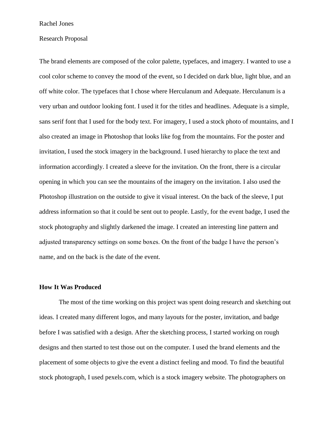### Rachel Jones

#### Research Proposal

The brand elements are composed of the color palette, typefaces, and imagery. I wanted to use a cool color scheme to convey the mood of the event, so I decided on dark blue, light blue, and an off white color. The typefaces that I chose where Herculanum and Adequate. Herculanum is a very urban and outdoor looking font. I used it for the titles and headlines. Adequate is a simple, sans serif font that I used for the body text. For imagery, I used a stock photo of mountains, and I also created an image in Photoshop that looks like fog from the mountains. For the poster and invitation, I used the stock imagery in the background. I used hierarchy to place the text and information accordingly. I created a sleeve for the invitation. On the front, there is a circular opening in which you can see the mountains of the imagery on the invitation. I also used the Photoshop illustration on the outside to give it visual interest. On the back of the sleeve, I put address information so that it could be sent out to people. Lastly, for the event badge, I used the stock photography and slightly darkened the image. I created an interesting line pattern and adjusted transparency settings on some boxes. On the front of the badge I have the person's name, and on the back is the date of the event.

### **How It Was Produced**

The most of the time working on this project was spent doing research and sketching out ideas. I created many different logos, and many layouts for the poster, invitation, and badge before I was satisfied with a design. After the sketching process, I started working on rough designs and then started to test those out on the computer. I used the brand elements and the placement of some objects to give the event a distinct feeling and mood. To find the beautiful stock photograph, I used pexels.com, which is a stock imagery website. The photographers on